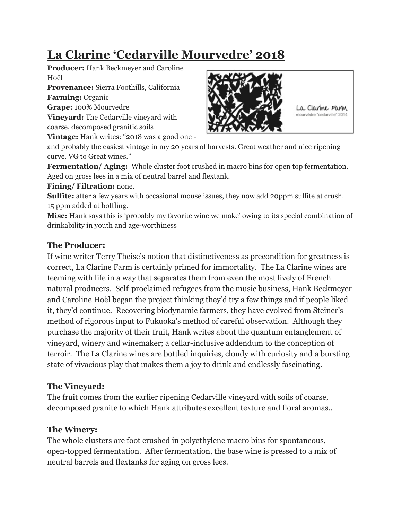# **La Clarine 'Cedarville Mourvedre' 2018**

**Producer:** Hank Beckmeyer and Caroline Hoël

**Provenance:** Sierra Foothills, California **Farming:** Organic

**Grape:** 100% Mourvedre

**Vineyard:** The Cedarville vineyard with coarse, decomposed granitic soils

**Vintage:** Hank writes: "2018 was a good one -



La Clarine Farm mourvèdre "cedarville" 2014

and probably the easiest vintage in my 20 years of harvests. Great weather and nice ripening curve. VG to Great wines."

**Fermentation/ Aging:** Whole cluster foot crushed in macro bins for open top fermentation. Aged on gross lees in a mix of neutral barrel and flextank.

#### **Fining/ Filtration:** none.

**Sulfite:** after a few years with occasional mouse issues, they now add 20ppm sulfite at crush. 15 ppm added at bottling.

**Misc:** Hank says this is 'probably my favorite wine we make' owing to its special combination of drinkability in youth and age-worthiness

### **The Producer:**

If wine writer Terry Theise's notion that distinctiveness as precondition for greatness is correct, La Clarine Farm is certainly primed for immortality. The La Clarine wines are teeming with life in a way that separates them from even the most lively of French natural producers. Self-proclaimed refugees from the music business, Hank Beckmeyer and Caroline Hoël began the project thinking they'd try a few things and if people liked it, they'd continue. Recovering biodynamic farmers, they have evolved from Steiner's method of rigorous input to Fukuoka's method of careful observation. Although they purchase the majority of their fruit, Hank writes about the quantum entanglement of vineyard, winery and winemaker; a cellar-inclusive addendum to the conception of terroir. The La Clarine wines are bottled inquiries, cloudy with curiosity and a bursting state of vivacious play that makes them a joy to drink and endlessly fascinating.

# **The Vineyard:**

The fruit comes from the earlier ripening Cedarville vineyard with soils of coarse, decomposed granite to which Hank attributes excellent texture and floral aromas..

# **The Winery:**

The whole clusters are foot crushed in polyethylene macro bins for spontaneous, open-topped fermentation. After fermentation, the base wine is pressed to a mix of neutral barrels and flextanks for aging on gross lees.